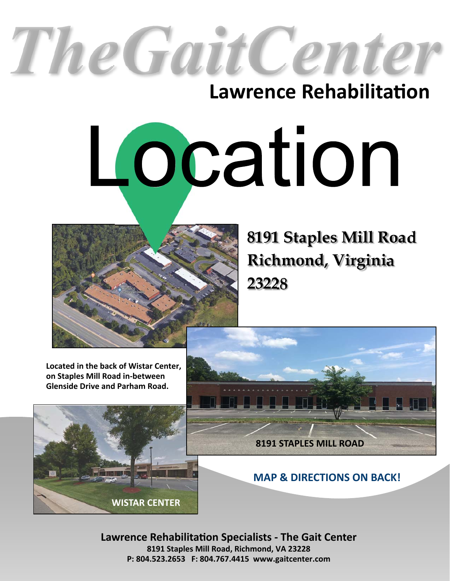# The Gait Cente

# **Lawrence Rehabilitation**

# Location



**8191 Staples Mill Road Richmond, Virginia 23228**

**Located in the back of Wistar Center, on Staples Mill Road in-between Glenside Drive and Parham Road.** 





**MAP & DIRECTIONS ON BACK!** 

**Lawrence RehabilitaƟon Specialists - The Gait Center 8191 Staples Mill Road, Richmond, VA 23228 P: 804.523.2653 F: 804.767.4415 www.gaitcenter.com**